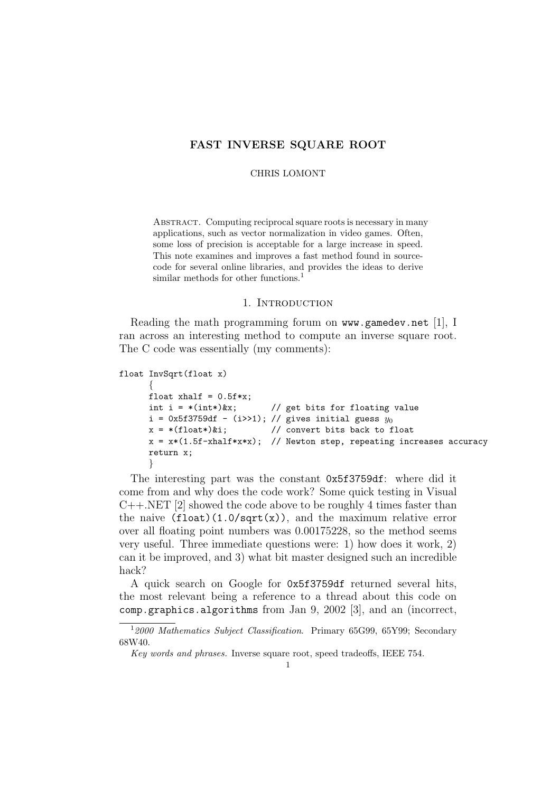## FAST INVERSE SQUARE ROOT

CHRIS LOMONT

ABSTRACT. Computing reciprocal square roots is necessary in many applications, such as vector normalization in video games. Often, some loss of precision is acceptable for a large increase in speed. This note examines and improves a fast method found in sourcecode for several online libraries, and provides the ideas to derive similar methods for other functions.<sup>1</sup>

## 1. INTRODUCTION

Reading the math programming forum on www.gamedev.net [1], I ran across an interesting method to compute an inverse square root. The C code was essentially (my comments):

```
float InvSqrt(float x)
      {
      float xhalf = 0.5f*x;<br>int i = *(int*)&x;
                                   // get bits for floating value
      i = 0x5f3759df - (i>>1); // gives initial guess y_0x = * (float*)\&i; // convert bits back to float
      x = x * (1.5f - x \text{half} * x * x); // Newton step, repeating increases accuracy
      return x;
       }
```
The interesting part was the constant 0x5f3759df: where did it come from and why does the code work? Some quick testing in Visual  $C_{++}$ .NET [2] showed the code above to be roughly 4 times faster than the naive  $(f$ loat $)(1.0$ /sqrt $(x)$ , and the maximum relative error over all floating point numbers was 0.00175228, so the method seems very useful. Three immediate questions were: 1) how does it work, 2) can it be improved, and 3) what bit master designed such an incredible hack?

A quick search on Google for 0x5f3759df returned several hits, the most relevant being a reference to a thread about this code on comp.graphics.algorithms from Jan 9, 2002 [3], and an (incorrect,

<sup>&</sup>lt;sup>1</sup>2000 Mathematics Subject Classification. Primary 65G99, 65Y99; Secondary 68W40.

Key words and phrases. Inverse square root, speed tradeoffs, IEEE 754.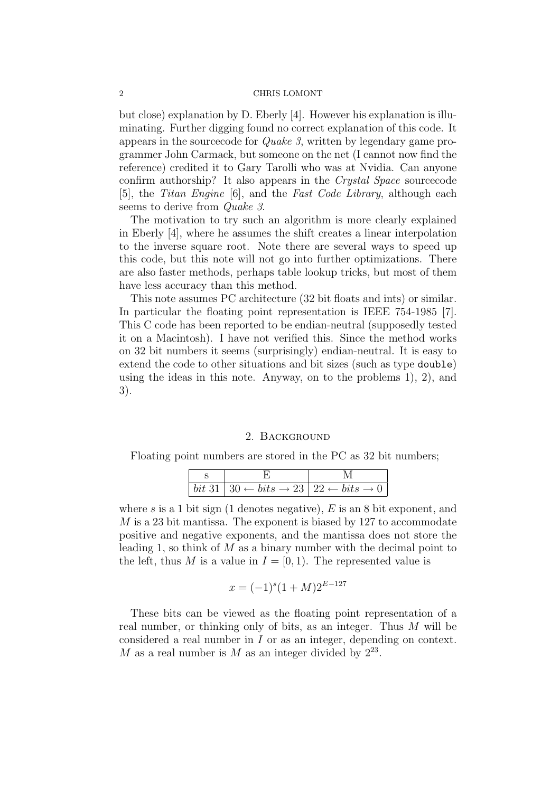but close) explanation by D. Eberly [4]. However his explanation is illuminating. Further digging found no correct explanation of this code. It appears in the sourcecode for Quake 3, written by legendary game programmer John Carmack, but someone on the net (I cannot now find the reference) credited it to Gary Tarolli who was at Nvidia. Can anyone confirm authorship? It also appears in the Crystal Space sourcecode [5], the Titan Engine [6], and the Fast Code Library, although each seems to derive from *Quake 3*.

The motivation to try such an algorithm is more clearly explained in Eberly [4], where he assumes the shift creates a linear interpolation to the inverse square root. Note there are several ways to speed up this code, but this note will not go into further optimizations. There are also faster methods, perhaps table lookup tricks, but most of them have less accuracy than this method.

This note assumes PC architecture (32 bit floats and ints) or similar. In particular the floating point representation is IEEE 754-1985 [7]. This C code has been reported to be endian-neutral (supposedly tested it on a Macintosh). I have not verified this. Since the method works on 32 bit numbers it seems (surprisingly) endian-neutral. It is easy to extend the code to other situations and bit sizes (such as type double) using the ideas in this note. Anyway, on to the problems 1), 2), and 3).

# 2. Background

Floating point numbers are stored in the PC as 32 bit numbers;

| $\vert bit\ 31\ \vert\ 30 \leftarrow bits \rightarrow 23\ \vert\ 22 \leftarrow bits \rightarrow 0$ |  |  |
|----------------------------------------------------------------------------------------------------|--|--|

where s is a 1 bit sign (1 denotes negative),  $E$  is an 8 bit exponent, and M is a 23 bit mantissa. The exponent is biased by 127 to accommodate positive and negative exponents, and the mantissa does not store the leading 1, so think of  $M$  as a binary number with the decimal point to the left, thus M is a value in  $I = [0, 1)$ . The represented value is

$$
x = (-1)^{s} (1 + M) 2^{E - 127}
$$

These bits can be viewed as the floating point representation of a real number, or thinking only of bits, as an integer. Thus M will be considered a real number in I or as an integer, depending on context. M as a real number is M as an integer divided by  $2^{23}$ .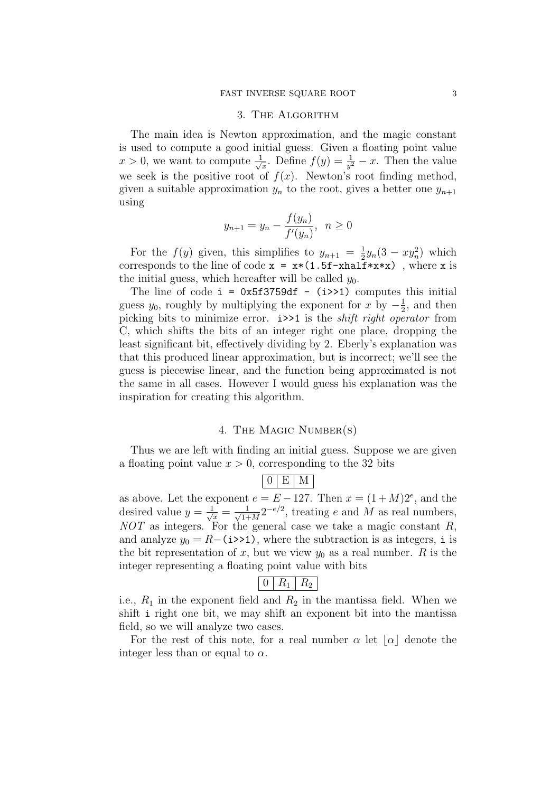#### 3. The Algorithm

The main idea is Newton approximation, and the magic constant is used to compute a good initial guess. Given a floating point value  $x > 0$ , we want to compute  $\frac{1}{\sqrt{2}}$  $\frac{1}{x}$ . Define  $f(y) = \frac{1}{y^2} - x$ . Then the value we seek is the positive root of  $f(x)$ . Newton's root finding method, given a suitable approximation  $y_n$  to the root, gives a better one  $y_{n+1}$ using

$$
y_{n+1} = y_n - \frac{f(y_n)}{f'(y_n)}, \ \ n \ge 0
$$

For the  $f(y)$  given, this simplifies to  $y_{n+1} = \frac{1}{2}$  $\frac{1}{2}y_n(3 - xy_n^2)$  which corresponds to the line of code  $x = x*(1.5f - xhalf*x*x)$ , where x is the initial guess, which hereafter will be called  $y_0$ .

The line of code  $i = 0x5f3759df - (i \geq 1)$  computes this initial guess  $y_0$ , roughly by multiplying the exponent for x by  $-\frac{1}{2}$  $\frac{1}{2}$ , and then picking bits to minimize error. i>>1 is the shift right operator from C, which shifts the bits of an integer right one place, dropping the least significant bit, effectively dividing by 2. Eberly's explanation was that this produced linear approximation, but is incorrect; we'll see the guess is piecewise linear, and the function being approximated is not the same in all cases. However I would guess his explanation was the inspiration for creating this algorithm.

## 4. The Magic Number(s)

Thus we are left with finding an initial guess. Suppose we are given a floating point value  $x > 0$ , corresponding to the 32 bits

# $0 \mid E \mid M$

as above. Let the exponent  $e = E - 127$ . Then  $x = (1 + M)2^e$ , and the desired value  $y = \frac{1}{\sqrt{x}} = \frac{1}{\sqrt{1+1}}$  $\frac{1}{1+M}2^{-e/2}$ , treating e and M as real numbers,  $NOT$  as integers. For the general case we take a magic constant  $R$ , and analyze  $y_0 = R-(i \rightarrow 1)$ , where the subtraction is as integers, i is the bit representation of x, but we view  $y_0$  as a real number. R is the integer representing a floating point value with bits

$$
\boxed{0 \mid R_1 \mid R_2}
$$

i.e.,  $R_1$  in the exponent field and  $R_2$  in the mantissa field. When we shift i right one bit, we may shift an exponent bit into the mantissa field, so we will analyze two cases.

For the rest of this note, for a real number  $\alpha$  let  $|\alpha|$  denote the integer less than or equal to  $\alpha$ .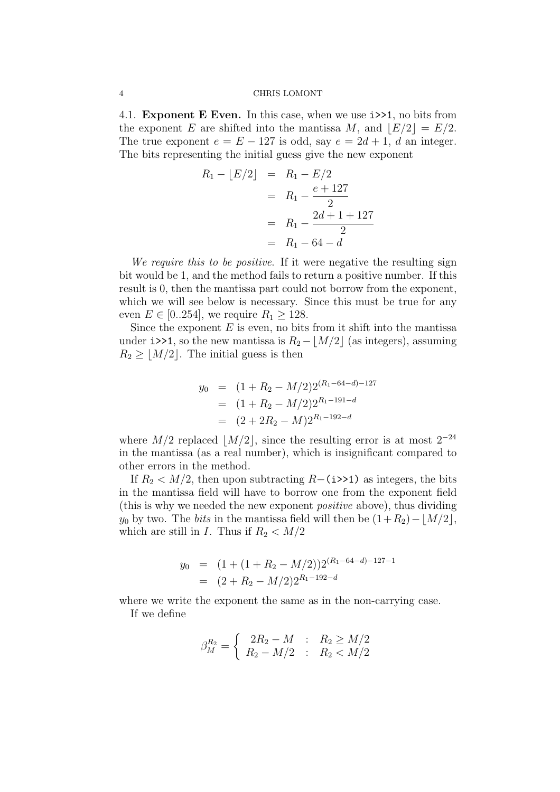4.1. Exponent E Even. In this case, when we use i>>1, no bits from the exponent E are shifted into the mantissa M, and  $|E/2| = E/2$ . The true exponent  $e = E - 127$  is odd, say  $e = 2d + 1$ , d an integer. The bits representing the initial guess give the new exponent

$$
R_1 - \lfloor E/2 \rfloor = R_1 - \frac{E/2}{2}
$$
  
=  $R_1 - \frac{e + 127}{2}$   
=  $R_1 - \frac{2d + 1 + 127}{2}$   
=  $R_1 - 64 - d$ 

We require this to be positive. If it were negative the resulting sign bit would be 1, and the method fails to return a positive number. If this result is 0, then the mantissa part could not borrow from the exponent, which we will see below is necessary. Since this must be true for any even  $E \in [0..254]$ , we require  $R_1 \geq 128$ .

Since the exponent  $E$  is even, no bits from it shift into the mantissa under i>>1, so the new mantissa is  $R_2 - |M/2|$  (as integers), assuming  $R_2 \geq |M/2|$ . The initial guess is then

$$
y_0 = (1 + R_2 - M/2)2^{(R_1 - 64 - d) - 127}
$$
  
=  $(1 + R_2 - M/2)2^{R_1 - 191 - d}$   
=  $(2 + 2R_2 - M)2^{R_1 - 192 - d}$ 

where  $M/2$  replaced  $|M/2|$ , since the resulting error is at most  $2^{-24}$ in the mantissa (as a real number), which is insignificant compared to other errors in the method.

If  $R_2 < M/2$ , then upon subtracting R–(i>>1) as integers, the bits in the mantissa field will have to borrow one from the exponent field (this is why we needed the new exponent positive above), thus dividing  $y_0$  by two. The *bits* in the mantissa field will then be  $(1+R_2)-|M/2|$ , which are still in I. Thus if  $R_2 < M/2$ 

$$
y_0 = (1 + (1 + R_2 - M/2))2^{(R_1 - 64 - d) - 127 - 1}
$$
  
= 
$$
(2 + R_2 - M/2)2^{R_1 - 192 - d}
$$

where we write the exponent the same as in the non-carrying case. If we define

$$
\beta_M^{R_2} = \begin{cases} 2R_2 - M & : R_2 \ge M/2 \\ R_2 - M/2 & : R_2 < M/2 \end{cases}
$$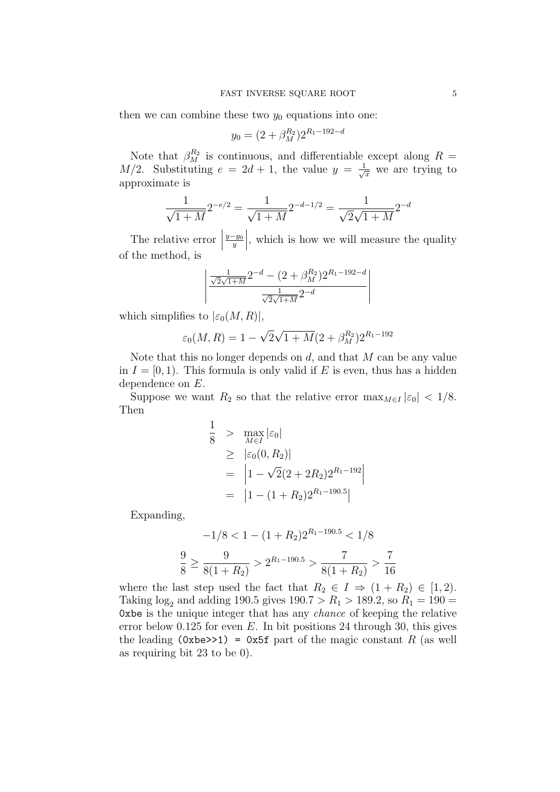then we can combine these two  $y_0$  equations into one:

$$
y_0 = (2 + \beta_M^{R_2})2^{R_1 - 192 - d}
$$

Note that  $\beta_M^{R_2}$  is continuous, and differentiable except along  $R =$  $M/2$ . Substituting  $e = 2d + 1$ , the value  $y = \frac{1}{\sqrt{x}}$  we are trying to approximate is

$$
\frac{1}{\sqrt{1+M}}2^{-e/2} = \frac{1}{\sqrt{1+M}}2^{-d-1/2} = \frac{1}{\sqrt{2}\sqrt{1+M}}2^{-d}
$$

The relative error  $\vert$  $\frac{y-y_0}{y}$   , which is how we will measure the quality of the method, is

$$
\left| \frac{\frac{1}{\sqrt{2\sqrt{1+M}}}2^{-d} - (2+\beta_M^{R_2})2^{R_1-192-d}}{\frac{1}{\sqrt{2\sqrt{1+M}}}2^{-d}} \right|
$$

which simplifies to  $|\varepsilon_0(M,R)|$ ,

$$
\varepsilon_0(M, R) = 1 - \sqrt{2\sqrt{1 + M}} (2 + \beta_M^{R_2}) 2^{R_1 - 192}
$$

Note that this no longer depends on  $d$ , and that  $M$  can be any value in  $I = [0, 1)$ . This formula is only valid if E is even, thus has a hidden dependence on E.

Suppose we want  $R_2$  so that the relative error  $\max_{M\in I} |\varepsilon_0| < 1/8$ . Then

$$
\frac{1}{8} > \max_{M \in I} |\varepsilon_0|
$$
  
\n
$$
\geq |\varepsilon_0(0, R_2)|
$$
  
\n
$$
= |1 - \sqrt{2}(2 + 2R_2)2^{R_1 - 192}|
$$
  
\n
$$
= |1 - (1 + R_2)2^{R_1 - 190.5}|
$$

Expanding,

$$
-1/8 < 1 - (1 + R_2)2^{R_1 - 190.5} < 1/8
$$
\n
$$
\frac{9}{8} \ge \frac{9}{8(1 + R_2)} > 2^{R_1 - 190.5} > \frac{7}{8(1 + R_2)} > \frac{7}{16}
$$

where the last step used the fact that  $R_2 \in I \Rightarrow (1 + R_2) \in [1, 2)$ . Taking  $\log_2$  and adding 190.5 gives 190.7 >  $R_1$  > 189.2, so  $R_1 = 190 =$ 0xbe is the unique integer that has any chance of keeping the relative error below 0.125 for even  $E$ . In bit positions 24 through 30, this gives the leading (0xbe>>1) = 0x5f part of the magic constant R (as well as requiring bit 23 to be 0).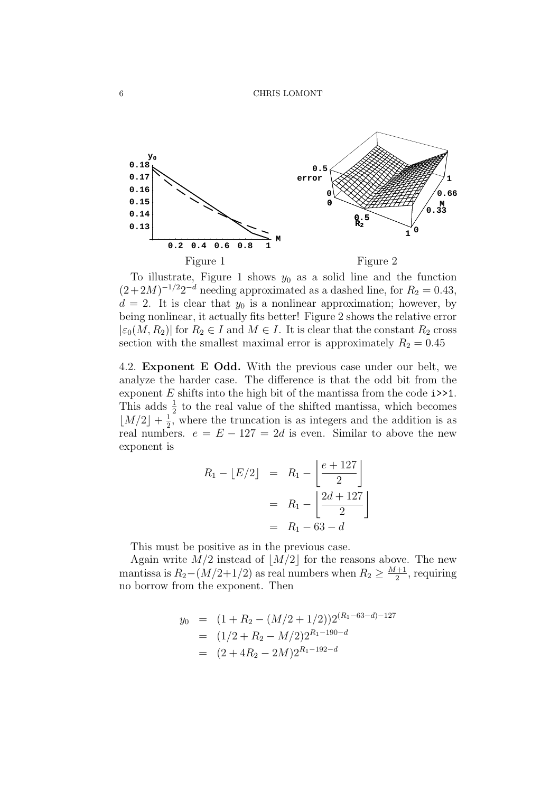

To illustrate, Figure 1 shows  $y_0$  as a solid line and the function  $(2+2M)^{-1/2}2^{-d}$  needing approximated as a dashed line, for  $R_2 = 0.43$ ,  $d = 2$ . It is clear that  $y_0$  is a nonlinear approximation; however, by being nonlinear, it actually fits better! Figure 2 shows the relative error  $|\epsilon_0(M, R_2)|$  for  $R_2 \in I$  and  $M \in I$ . It is clear that the constant  $R_2$  cross section with the smallest maximal error is approximately  $R_2 = 0.45$ 

4.2. Exponent E Odd. With the previous case under our belt, we analyze the harder case. The difference is that the odd bit from the exponent  $E$  shifts into the high bit of the mantissa from the code  $i \geq 1$ . This adds  $\frac{1}{2}$  to the real value of the shifted mantissa, which becomes  $\lfloor M/2 \rfloor + \frac{1}{2}$  $\frac{1}{2}$ , where the truncation is as integers and the addition is as real numbers.  $e = E - 127 = 2d$  is even. Similar to above the new exponent is

$$
R_1 - \lfloor E/2 \rfloor = R_1 - \left[ \frac{e + 127}{2} \right]
$$

$$
= R_1 - \left[ \frac{2d + 127}{2} \right]
$$

$$
= R_1 - 63 - d
$$

This must be positive as in the previous case.

Again write  $M/2$  instead of  $|M/2|$  for the reasons above. The new mantissa is  $R_2-(M/2+1/2)$  as real numbers when  $R_2 \geq \frac{M+1}{2}$  $\frac{+1}{2}$ , requiring no borrow from the exponent. Then

$$
y_0 = (1 + R_2 - (M/2 + 1/2))2^{(R_1 - 63 - d) - 127}
$$
  
=  $(1/2 + R_2 - M/2)2^{R_1 - 190 - d}$   
=  $(2 + 4R_2 - 2M)2^{R_1 - 192 - d}$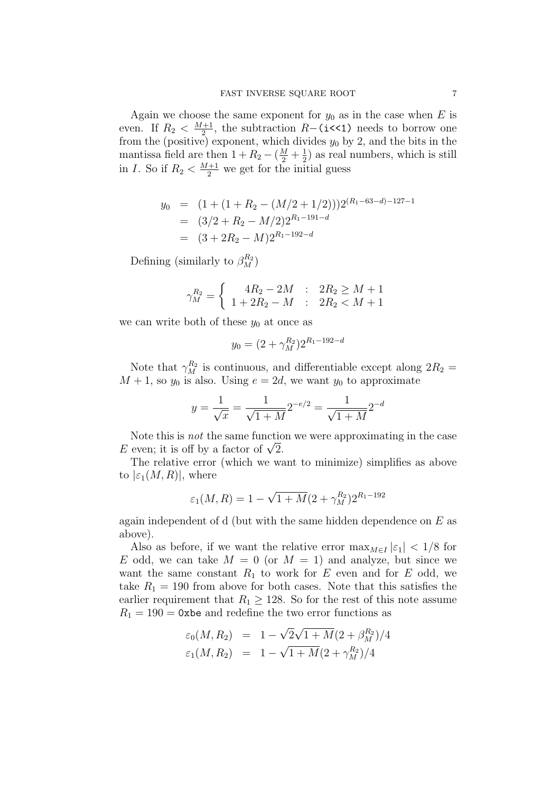Again we choose the same exponent for  $y_0$  as in the case when E is even. If  $R_2 < \frac{M+1}{2}$  $\frac{+1}{2}$ , the subtraction R−(i<<1) needs to borrow one from the (positive) exponent, which divides  $y_0$  by 2, and the bits in the mantissa field are then  $1 + R_2 - (\frac{M}{2} + \frac{1}{2})$  $\frac{1}{2}$ ) as real numbers, which is still in *I*. So if  $R_2 < \frac{M+1}{2}$  we get for the initial guess

$$
y_0 = (1 + (1 + R_2 - (M/2 + 1/2)))2^{(R_1 - 63 - d) - 127 - 1}
$$
  
=  $(3/2 + R_2 - M/2)2^{R_1 - 191 - d}$   
=  $(3 + 2R_2 - M)2^{R_1 - 192 - d}$ 

Defining (similarly to  $\beta_M^{R_2}$ )

$$
\gamma_M^{R_2} = \begin{cases} 4R_2 - 2M & : 2R_2 \ge M + 1 \\ 1 + 2R_2 - M & : 2R_2 < M + 1 \end{cases}
$$

we can write both of these  $y_0$  at once as

$$
y_0 = (2 + \gamma_M^{R_2})2^{R_1 - 192 - d}
$$

Note that  $\gamma_M^{R_2}$  is continuous, and differentiable except along  $2R_2 =$  $M + 1$ , so  $y_0$  is also. Using  $e = 2d$ , we want  $y_0$  to approximate

$$
y = \frac{1}{\sqrt{x}} = \frac{1}{\sqrt{1+M}} 2^{-e/2} = \frac{1}{\sqrt{1+M}} 2^{-d}
$$

Note this is not the same function we were approximating in the case E even; it is off by a factor of  $\sqrt{2}$ .

The relative error (which we want to minimize) simplifies as above to  $|\varepsilon_1(M,R)|$ , where

$$
\varepsilon_1(M,R) = 1 - \sqrt{1 + M} (2 + \gamma_M^{R_2}) 2^{R_1 - 192}
$$

again independent of d (but with the same hidden dependence on  $E$  as above).

Also as before, if we want the relative error  $\max_{M\in I} |\varepsilon_1| < 1/8$  for E odd, we can take  $M = 0$  (or  $M = 1$ ) and analyze, but since we want the same constant  $R_1$  to work for E even and for E odd, we take  $R_1 = 190$  from above for both cases. Note that this satisfies the earlier requirement that  $R_1 \geq 128$ . So for the rest of this note assume  $R_1 = 190 = 0$ xbe and redefine the two error functions as

$$
\varepsilon_0(M, R_2) = 1 - \sqrt{2}\sqrt{1 + M}(2 + \beta_M^{R_2})/4
$$
  

$$
\varepsilon_1(M, R_2) = 1 - \sqrt{1 + M}(2 + \gamma_M^{R_2})/4
$$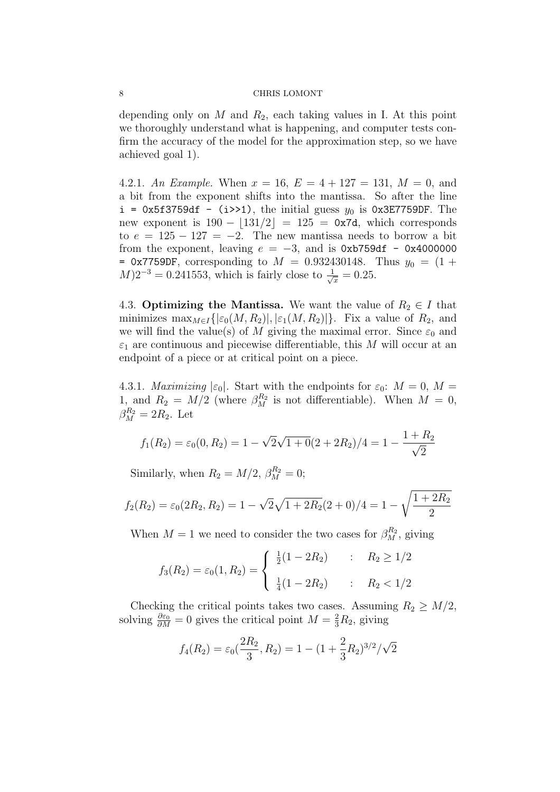depending only on  $M$  and  $R_2$ , each taking values in I. At this point we thoroughly understand what is happening, and computer tests confirm the accuracy of the model for the approximation step, so we have achieved goal 1).

4.2.1. An Example. When  $x = 16$ ,  $E = 4 + 127 = 131$ ,  $M = 0$ , and a bit from the exponent shifts into the mantissa. So after the line  $i = 0x5f3759df - (i \rightarrow 1)$ , the initial guess  $y_0$  is 0x3E7759DF. The new exponent is  $190 - |131/2| = 125 = 0x7d$ , which corresponds to  $e = 125 - 127 = -2$ . The new mantissa needs to borrow a bit from the exponent, leaving  $e = -3$ , and is 0xb759df - 0x4000000 = 0x7759DF, corresponding to  $M = 0.932430148$ . Thus  $y_0 = (1 +$  $M$ ) $2^{-3} = 0.241553$ , which is fairly close to  $\frac{1}{\sqrt{x}} = 0.25$ .

4.3. Optimizing the Mantissa. We want the value of  $R_2 \in I$  that minimizes  $\max_{M\in I}\{| \varepsilon_0(M,R_2)|, |\varepsilon_1(M,R_2)|\}.$  Fix a value of  $R_2$ , and we will find the value(s) of M giving the maximal error. Since  $\varepsilon_0$  and  $\varepsilon_1$  are continuous and piecewise differentiable, this M will occur at an endpoint of a piece or at critical point on a piece.

4.3.1. *Maximizing*  $|\varepsilon_0|$ . Start with the endpoints for  $\varepsilon_0$ :  $M = 0$ ,  $M =$ 1, and  $R_2 = M/2$  (where  $\beta_M^{R_2}$  is not differentiable). When  $M = 0$ ,  $\beta_M^{R_2} = 2R_2$ . Let

$$
f_1(R_2) = \varepsilon_0(0, R_2) = 1 - \sqrt{2}\sqrt{1+0}(2+2R_2)/4 = 1 - \frac{1+R_2}{\sqrt{2}}
$$

Similarly, when  $R_2 = M/2$ ,  $\beta_M^{R_2} = 0$ ;

$$
f_2(R_2) = \varepsilon_0(2R_2, R_2) = 1 - \sqrt{2}\sqrt{1 + 2R_2}(2 + 0)/4 = 1 - \sqrt{\frac{1 + 2R_2}{2}}
$$

When  $M = 1$  we need to consider the two cases for  $\beta_M^{R_2}$ , giving

$$
f_3(R_2) = \varepsilon_0(1, R_2) = \begin{cases} \frac{1}{2}(1 - 2R_2) & : R_2 \ge 1/2 \\ \frac{1}{4}(1 - 2R_2) & : R_2 < 1/2 \end{cases}
$$

Checking the critical points takes two cases. Assuming  $R_2 \geq M/2$ , solving  $\frac{\partial \varepsilon_0}{\partial M} = 0$  gives the critical point  $M = \frac{2}{3}R_2$ , giving

$$
f_4(R_2) = \varepsilon_0(\frac{2R_2}{3}, R_2) = 1 - (1 + \frac{2}{3}R_2)^{3/2}/\sqrt{2}
$$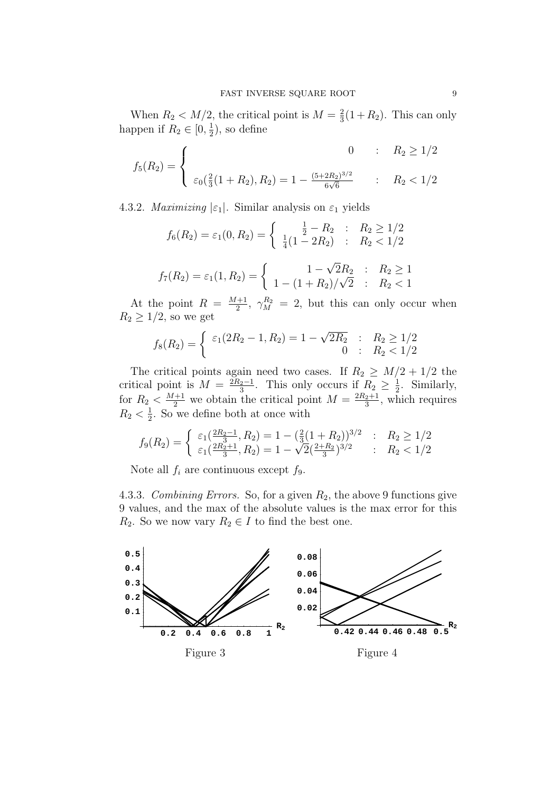When  $R_2 < M/2$ , the critical point is  $M = \frac{2}{3}$  $\frac{2}{3}(1+R_2)$ . This can only happen if  $R_2 \in [0, \frac{1}{2}]$  $(\frac{1}{2})$ , so define

$$
f_5(R_2) = \begin{cases} 0 & \text{: } R_2 \ge 1/2\\ \varepsilon_0(\frac{2}{3}(1+R_2), R_2) = 1 - \frac{(5+2R_2)^{3/2}}{6\sqrt{6}} & \text{: } R_2 < 1/2 \end{cases}
$$

4.3.2. *Maximizing*  $|\varepsilon_1|$ . Similar analysis on  $\varepsilon_1$  yields

$$
f_6(R_2) = \varepsilon_1(0, R_2) = \begin{cases} \frac{1}{2} - R_2 & \text{: } R_2 \ge 1/2\\ \frac{1}{4}(1 - 2R_2) & \text{: } R_2 < 1/2 \end{cases}
$$
\n
$$
f_7(R_2) = \varepsilon_1(1, R_2) = \begin{cases} 1 - \sqrt{2}R_2 & \text{: } R_2 \ge 1\\ 1 - (1 + R_2)/\sqrt{2} & \text{: } R_2 < 1 \end{cases}
$$

At the point  $R = \frac{M+1}{2}$  $\frac{1}{2}$ ,  $\gamma_M^{R_2} = 2$ , but this can only occur when  $R_2 \geq 1/2$ , so we get

$$
f_8(R_2) = \begin{cases} \varepsilon_1(2R_2 - 1, R_2) = 1 - \sqrt{2R_2} & \colon & R_2 \ge 1/2 \\ 0 & \colon & R_2 < 1/2 \end{cases}
$$

The critical points again need two cases. If  $R_2 \geq M/2 + 1/2$  the critical point is  $M = \frac{2R_2-1}{3}$ . This only occurs if  $R_2 \geq \frac{1}{2}$  $\frac{1}{2}$ . Similarly, for  $R_2 < \frac{M+1}{2}$  we obtain the critical point  $M = \frac{2R_2+1}{3}$  $\frac{2+1}{3}$ , which requires  $R_2 < \frac{1}{2}$  $\frac{1}{2}$ . So we define both at once with

$$
f_9(R_2) = \begin{cases} \varepsilon_1(\frac{2R_2-1}{3}, R_2) = 1 - (\frac{2}{3}(1+R_2))^{3/2} & \colon R_2 \ge 1/2\\ \varepsilon_1(\frac{2R_2+1}{3}, R_2) = 1 - \sqrt{2}(\frac{2+R_2}{3})^{3/2} & \colon R_2 < 1/2 \end{cases}
$$

Note all  $f_i$  are continuous except  $f_9$ .

4.3.3. Combining Errors. So, for a given  $R_2$ , the above 9 functions give 9 values, and the max of the absolute values is the max error for this  $R_2$ . So we now vary  $R_2 \in I$  to find the best one.

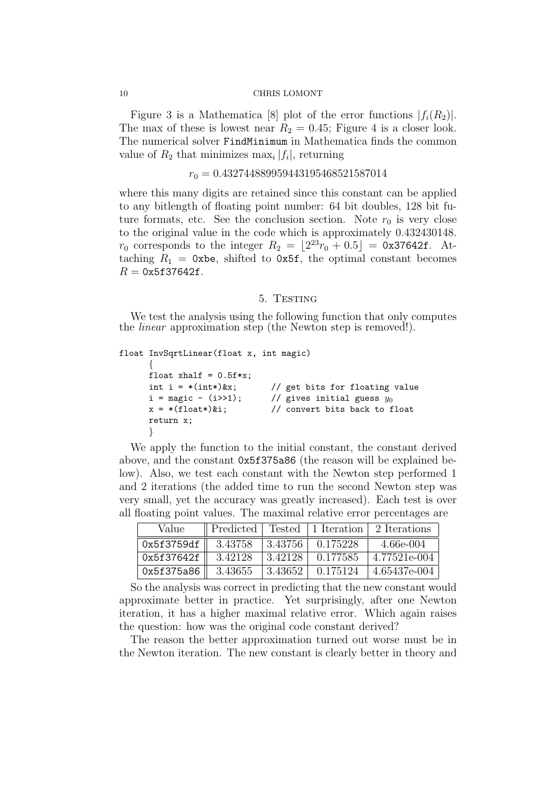Figure 3 is a Mathematica [8] plot of the error functions  $|f_i(R_2)|$ . The max of these is lowest near  $R_2 = 0.45$ ; Figure 4 is a closer look. The numerical solver FindMinimum in Mathematica finds the common value of  $R_2$  that minimizes  $\max_i |f_i|$ , returning

 $r_0 = 0.432744889959443195468521587014$ 

where this many digits are retained since this constant can be applied to any bitlength of floating point number: 64 bit doubles, 128 bit future formats, etc. See the conclusion section. Note  $r_0$  is very close to the original value in the code which is approximately 0.432430148.  $r_0$  corresponds to the integer  $R_2 = \lfloor 2^{23}r_0 + 0.5 \rfloor = 0$ x37642f. Attaching  $R_1 = 0$ xbe, shifted to 0x5f, the optimal constant becomes  $R = 0x5f37642f$ .

## 5. TESTING

We test the analysis using the following function that only computes the *linear* approximation step (the Newton step is removed!).

```
float InvSqrtLinear(float x, int magic)
     \{float xhalf = 0.5f*x;int i = *(int*)&x; // get bits for floating value
     i = \text{magic} - (i \gg 1); // gives initial guess y_0x = * (float*)\&i; // convert bits back to float
     return x;
     }
```
We apply the function to the initial constant, the constant derived above, and the constant 0x5f375a86 (the reason will be explained below). Also, we test each constant with the Newton step performed 1 and 2 iterations (the added time to run the second Newton step was very small, yet the accuracy was greatly increased). Each test is over all floating point values. The maximal relative error percentages are

| Value      | Predicted |         | Tested   1 Iteration | 2 Iterations |
|------------|-----------|---------|----------------------|--------------|
| 0x5f3759df | 3.43758   | 3.43756 | 0.175228             | $4.66e-004$  |
| 0x5f37642f | 3.42128   | 3.42128 | 0.177585             | 4.77521e-004 |
| 0x5f375a86 | 3.43655   | 3.43652 | 0.175124             | 4.65437e-004 |

So the analysis was correct in predicting that the new constant would approximate better in practice. Yet surprisingly, after one Newton iteration, it has a higher maximal relative error. Which again raises the question: how was the original code constant derived?

The reason the better approximation turned out worse must be in the Newton iteration. The new constant is clearly better in theory and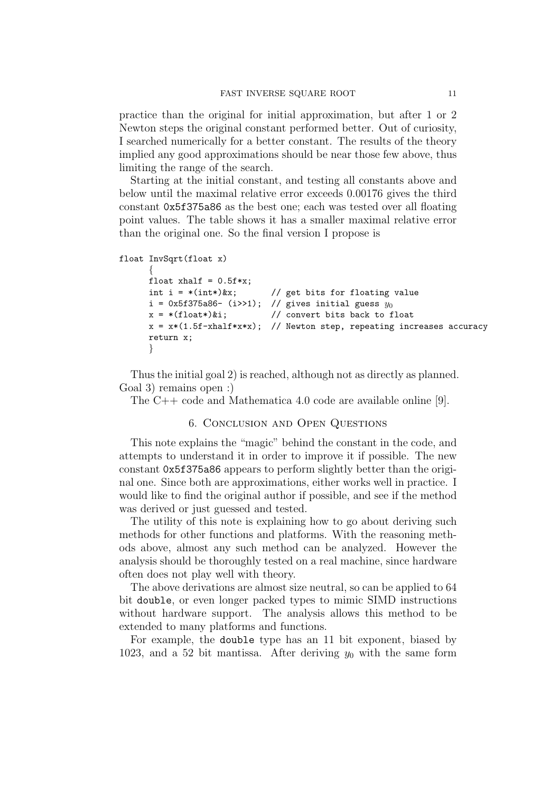practice than the original for initial approximation, but after 1 or 2 Newton steps the original constant performed better. Out of curiosity, I searched numerically for a better constant. The results of the theory implied any good approximations should be near those few above, thus limiting the range of the search.

Starting at the initial constant, and testing all constants above and below until the maximal relative error exceeds 0.00176 gives the third constant 0x5f375a86 as the best one; each was tested over all floating point values. The table shows it has a smaller maximal relative error than the original one. So the final version I propose is

```
float InvSqrt(float x)
```

```
\{float xhalf = 0.5f*x;
int i = *(int*)&x; // get bits for floating value
i = 0x5f375a86- (i>>1); // gives initial guess y_0x = * (float*)\&i; // convert bits back to float
x = x*(1.5f-xhalf*x*x); // Newton step, repeating increases accuracy
return x;
}
```
Thus the initial goal 2) is reached, although not as directly as planned. Goal 3) remains open :)

The C++ code and Mathematica 4.0 code are available online [9].

## 6. Conclusion and Open Questions

This note explains the "magic" behind the constant in the code, and attempts to understand it in order to improve it if possible. The new constant 0x5f375a86 appears to perform slightly better than the original one. Since both are approximations, either works well in practice. I would like to find the original author if possible, and see if the method was derived or just guessed and tested.

The utility of this note is explaining how to go about deriving such methods for other functions and platforms. With the reasoning methods above, almost any such method can be analyzed. However the analysis should be thoroughly tested on a real machine, since hardware often does not play well with theory.

The above derivations are almost size neutral, so can be applied to 64 bit double, or even longer packed types to mimic SIMD instructions without hardware support. The analysis allows this method to be extended to many platforms and functions.

For example, the double type has an 11 bit exponent, biased by 1023, and a 52 bit mantissa. After deriving  $y_0$  with the same form